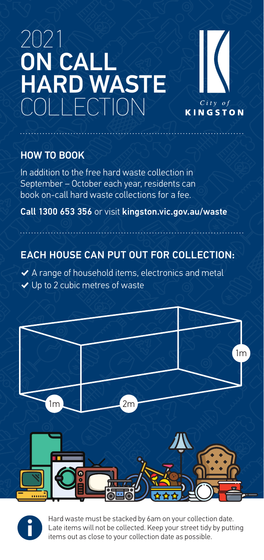# 2021 ON CALL HARD WASTE COLLECTION



### HOW TO BOOK

In addition to the free hard waste collection in September – October each year, residents can book on-call hard waste collections for a fee.

Call 1300 653 356 or visit kingston.vic.gov.au/waste

# EACH HOUSE CAN PUT OUT FOR COLLECTION:

 $\blacktriangleright$  A range of household items, electronics and metal  $\vee$  Up to 2 cubic metres of waste





Hard waste must be stacked by 6am on your collection date. Late items will not be collected. Keep your street tidy by putting items out as close to your collection date as possible.